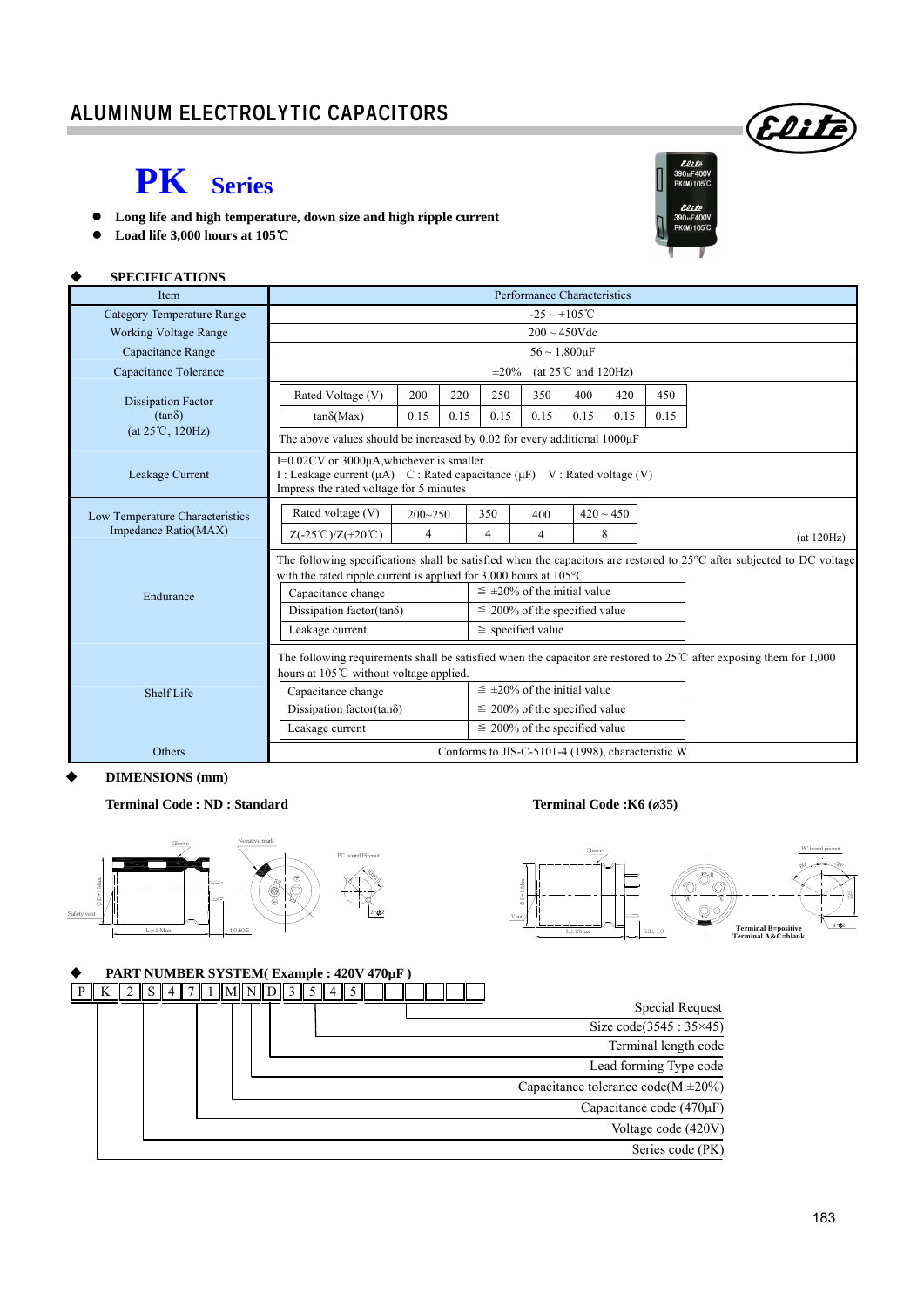### ALUMINUM ELECTROLYTIC CAPACITORS

## **PK Series**

- **Long life and high temperature, down size and high ripple current**
- **Load life 3,000 hours at 105**℃

#### **SPECIFICATIONS**

| Item                                                                    | Performance Characteristics                                                                                                                                                                                                                                                                                                                                                |             |      |                                                             |                                                                                                                        |      |                |      |            |  |  |
|-------------------------------------------------------------------------|----------------------------------------------------------------------------------------------------------------------------------------------------------------------------------------------------------------------------------------------------------------------------------------------------------------------------------------------------------------------------|-------------|------|-------------------------------------------------------------|------------------------------------------------------------------------------------------------------------------------|------|----------------|------|------------|--|--|
| <b>Category Temperature Range</b>                                       | $-25 \sim +105^{\circ}$ C                                                                                                                                                                                                                                                                                                                                                  |             |      |                                                             |                                                                                                                        |      |                |      |            |  |  |
| <b>Working Voltage Range</b>                                            | $200 \sim 450$ Vdc                                                                                                                                                                                                                                                                                                                                                         |             |      |                                                             |                                                                                                                        |      |                |      |            |  |  |
| Capacitance Range                                                       | $56 \sim 1,800 \mu F$                                                                                                                                                                                                                                                                                                                                                      |             |      |                                                             |                                                                                                                        |      |                |      |            |  |  |
| Capacitance Tolerance                                                   | (at $25^{\circ}$ C and $120$ Hz)<br>$\pm 20\%$                                                                                                                                                                                                                                                                                                                             |             |      |                                                             |                                                                                                                        |      |                |      |            |  |  |
| <b>Dissipation Factor</b><br>$(tan\delta)$<br>$(at 25^{\circ}C, 120Hz)$ | Rated Voltage (V)                                                                                                                                                                                                                                                                                                                                                          | 200         |      | 250                                                         | 350                                                                                                                    | 400  | 420            | 450  |            |  |  |
|                                                                         | $tan\delta(Max)$                                                                                                                                                                                                                                                                                                                                                           | 0.15        | 0.15 | 0.15                                                        | 0.15                                                                                                                   | 0.15 | 0.15           | 0.15 |            |  |  |
|                                                                         | The above values should be increased by 0.02 for every additional $1000\mu$ F                                                                                                                                                                                                                                                                                              |             |      |                                                             |                                                                                                                        |      |                |      |            |  |  |
| Leakage Current                                                         | I=0.02CV or 3000μA, whichever is smaller<br>I : Leakage current ( $\mu$ A) C : Rated capacitance ( $\mu$ F) V : Rated voltage (V)<br>Impress the rated voltage for 5 minutes                                                                                                                                                                                               |             |      |                                                             |                                                                                                                        |      |                |      |            |  |  |
| Low Temperature Characteristics                                         | Rated voltage (V)                                                                                                                                                                                                                                                                                                                                                          | $200 - 250$ |      | 350                                                         | 400                                                                                                                    |      | $420 \sim 450$ |      |            |  |  |
| Impedance Ratio(MAX)                                                    | $Z(-25^{\circ}\text{C})/Z(+20^{\circ}\text{C})$                                                                                                                                                                                                                                                                                                                            | 4           |      | 4                                                           | $\overline{4}$                                                                                                         |      | 8              |      | (at 120Hz) |  |  |
| Endurance                                                               | with the rated ripple current is applied for $3,000$ hours at $105^{\circ}$ C<br>Capacitance change                                                                                                                                                                                                                                                                        |             |      | $\leq \pm 20\%$ of the initial value                        | The following specifications shall be satisfied when the capacitors are restored to 25°C after subjected to DC voltage |      |                |      |            |  |  |
|                                                                         | Dissipation factor(tan $\delta$ )<br>Leakage current                                                                                                                                                                                                                                                                                                                       |             |      | $\leq$ 200% of the specified value<br>$\le$ specified value |                                                                                                                        |      |                |      |            |  |  |
| <b>Shelf Life</b>                                                       | The following requirements shall be satisfied when the capacitor are restored to $25^{\circ}$ C after exposing them for 1,000<br>hours at 105°C without voltage applied.<br>$\leq \pm 20\%$ of the initial value<br>Capacitance change<br>Dissipation factor(tan $\delta$ )<br>$\leq$ 200% of the specified value<br>$\leq$ 200% of the specified value<br>Leakage current |             |      |                                                             |                                                                                                                        |      |                |      |            |  |  |
| Others                                                                  | Conforms to JIS-C-5101-4 (1998), characteristic W                                                                                                                                                                                                                                                                                                                          |             |      |                                                             |                                                                                                                        |      |                |      |            |  |  |

#### **DIMENSIONS (mm)**

#### Terminal Code : ND : Standard Terminal Code : K6 (ø35)





#### **PART NUMBER SYSTEM( Example : 420V 470µF )**



Elite